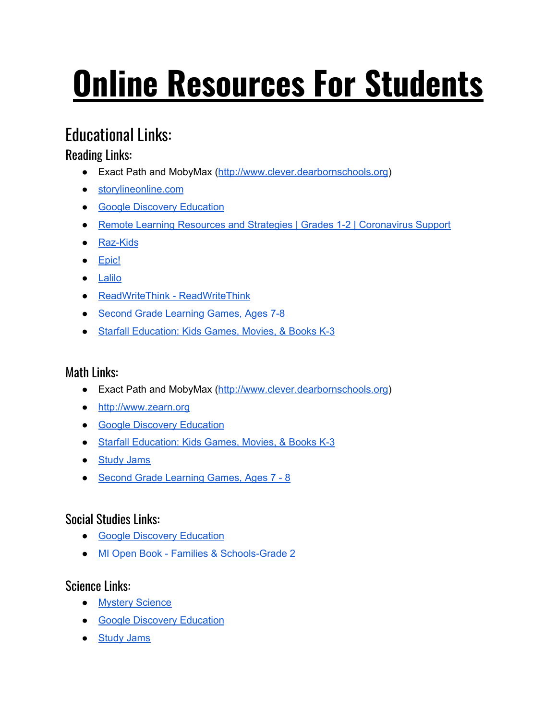# **Online Resources For Students**

# **Educational Links:**

## Reading Links:

- Exact Path and MobyMax ([http://www.clever.dearbornschools.org\)](http://www.clever.dearbornschools.org/)
- [storylineonline.com](http://www.storylineonline.com/)
- Google Discovery [Education](https://google.discoveryeducation.com/learn/home)
- Remote Learning Resources and Strategies | Grades 1-2 | [Coronavirus](https://classroommagazines.scholastic.com/support/learnathome/grades-1-2.html) Support
- [Raz-Kids](https://www.kidsa-z.com/main/Login?_ga=2.116899973.2000137833.1584285231-1488489672.1584285231)
- [Epic!](https://www.getepic.com/students)
- [Lalilo](https://student.lalilo.com/#/login)
- [ReadWriteThink](http://www.readwritethink.org/) ReadWriteThink
- Second Grade [Learning](https://www.abcya.com/grades/2) Games, Ages 7-8
- Starfall [Education:](http://www.starfall.com/) Kids Games, Movies, & Books K-3

## Math Links:

- Exact Path and MobyMax ([http://www.clever.dearbornschools.org\)](http://www.clever.dearbornschools.org/)
- [http://www.zearn.org](http://www.zearn.org/)
- Google Discovery [Education](https://google.discoveryeducation.com/learn/home)
- Starfall [Education:](http://www.starfall.com/) Kids Games, Movies, & Books K-3
- **[Study](http://studyjams.scholastic.com/studyjams/) Jams**
- Second Grade [Learning](https://www.abcya.com/grades/2) Games, Ages 7 8

### Social Studies Links:

- Google Discovery [Education](https://google.discoveryeducation.com/learn/home)
- MI Open Book Families & [Schools-Grade](https://drive.google.com/file/d/19QBFGudauNd8P-nT3hDbpq07xz9RzbfH/view?usp=sharing) 2

#### Science Links:

- Mystery [Science](https://mysteryscience.com/school-closure-planning)
- Google Discovery [Education](https://google.discoveryeducation.com/learn/home)
- [Study](http://studyjams.scholastic.com/studyjams/) Jams